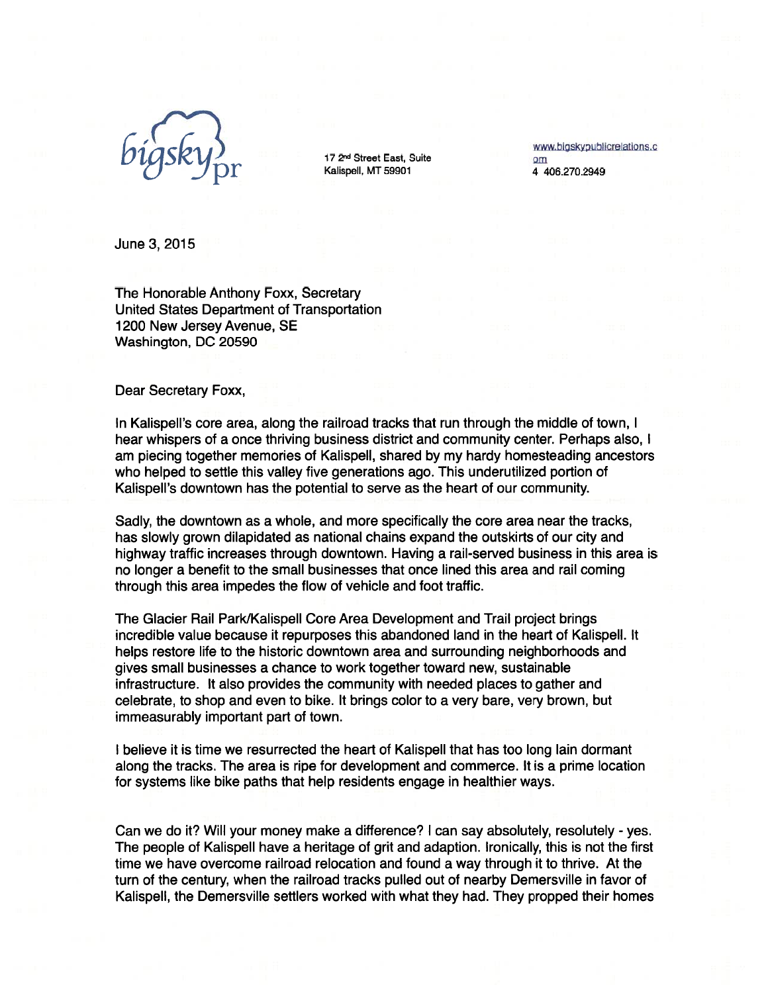

172nd Street East, Suite 17 2<sup>nd</sup> Street East, Suite<br>
Kalispell, MT 59901 4 406.270.2949

June 3,2015

The Honorable Anthony Foxx, Secretary United States Department of Transportation 1200 New Jersey Avenue, SE Washington, DC 20590

Dear Secretary Foxx,

In Kalispell's core area, along the railroad tracks that run through the middle of town, <sup>I</sup> hear whispers of a once thriving business district and community center. Perhaps also, <sup>I</sup> am piecing together memories of Kalispell, shared by my hardy homesteading ancestors who helped to settle this valley five generations ago. This underutilized portion of Kalispell's downtown has the potential to serve as the heart of our community.

Sadly, the downtown as a whole, and more specifically the core area near the tracks, has slowly grown dilapidated as national chains expand the outskirts of our city and highway traffic increases through downtown. Having a rail-served business in this area is no longer a benefit to the small businesses that once lined this area and rail coming through this area impedes the flow of vehicle and foot traffic.

The Glacier Rail Park/Kalispell Core Area Development and Trail project brings incredible value because it repurposes this abandoned land in the heart of Kalispell. It helps restore life to the historic downtown area and surrounding neighborhoods and gives small businesses a chance to work together toward new, sustainable infrastructure. It also provides the community with needed places to gather and celebrate, to shop and even to bike. It brings color to a very bare, very brown, but immeasurably important part of town.

<sup>I</sup> believe it is time we resurrected the heart of Kalispell that has too long lain dormant along the tracks. The area is ripe for development and commerce. It is a prime location for systems like bike paths that help residents engage in healthier ways.

Can we do it? Will your money make a difference? <sup>I</sup> can say absolutely, resolutely - yes. The people of Kalispell have a heritage of grit and adaption. Ironically, this is not the first time we have overcome railroad relocation and found a way through it to thrive. At the turn of the century, when the railroad tracks pulled out of nearby Demersville in favor of Kalispell, the Demersville settlers worked with what they had. They propped their homes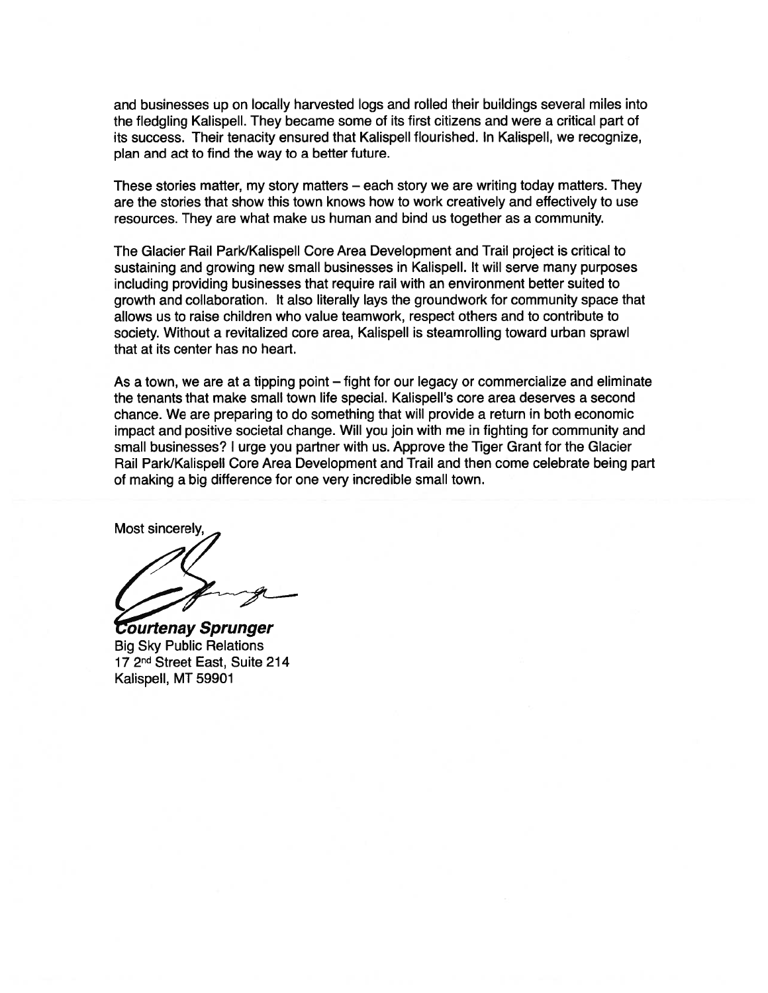and businesses up on locally harvested logs and rolled their buildings several miles into the fledgling Kalispell. They became some of its first citizens and were a critical part of its success. Their tenacity ensured that Kalispell flourished. In Kalispell, we recognize, plan and act to find the way to a better future.

These stories matter, my story matters — each story we are writing today matters. They are the stories that show this town knows how to work creatively and effectively to use resources. They are what make us human and bind us together as a community.

The Glacier Rail Park/Kalispell Core Area Development and Trail project is critical to sustaining and growing new small businesses in Kalispell. It will serve many purposes including providing businesses that require rail with an environment better suited to growth and collaboration. It also literally lays the groundwork for community space that allows us to raise children who value teamwork, respect others and to contribute to society. Without a revitalized core area, Kalispell is steamrolling toward urban sprawl that at its center has no heart.

As a town, we are at a tipping point — fight for our legacy or commercialize and eliminate the tenants that make small town life special. Kalispell's core area deserves a second chance. We are preparing to do something that will provide a return in both economic impact and positive societal change. Will you join with me in fighting for community and small businesses? <sup>I</sup> urge you partner with us. Approve the Tiger Grant for the Glacier Rail Park/Kalispell Core Area Development and Trail and then come celebrate being part of making a big difference for one very incredible small town.

Most sincerely,

**Courtenay Sprunger Big Sky Public Relations** 17 2<sup>nd</sup> Street East, Suite 214 Kalispell, MT 59901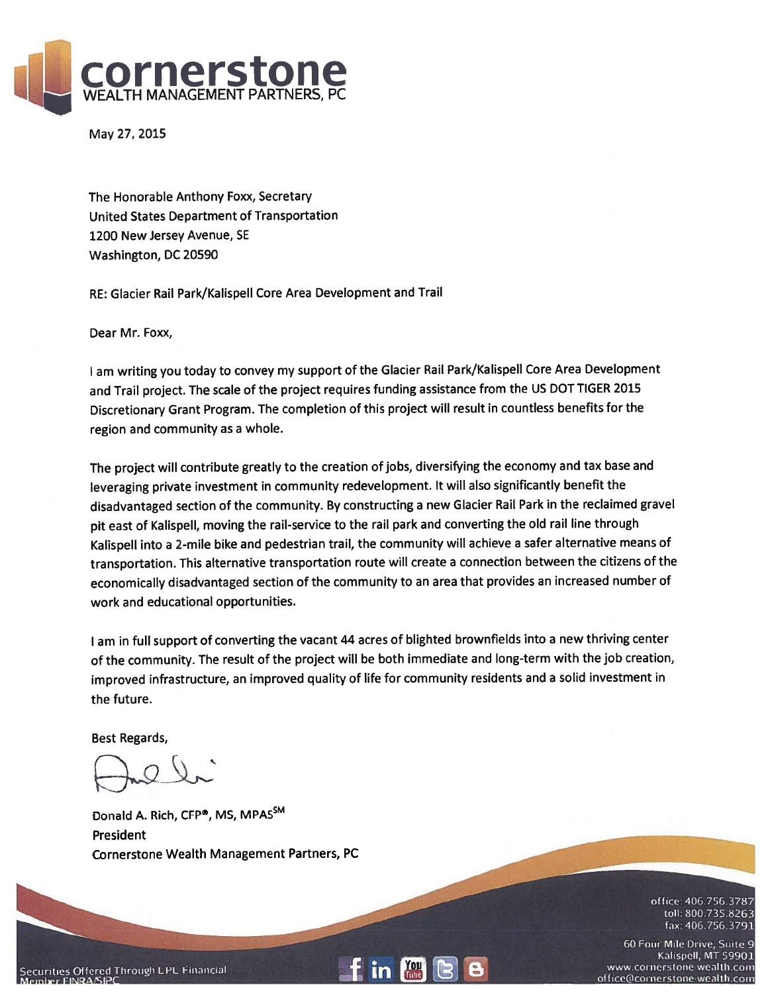

May 27, 2015

The Honorable Anthony Foxx, Secretary United States Department of Transportation 1200 New Jersey Avenue, SE Washington, DC 20590

RE: Glacier Rail Park/Kalispell Core Area Development and Trail

Dear Mr. Foxx,

<sup>I</sup> am writing you today to convey my support of the Glacier Rail Park/Kalispell Core Area Development and Trail project. The scale of the project requires funding assistance from the US DOT TIGER 2015 Discretionary Grant Program. The completion of this project will result in countless benefits for the region and community as a whole.

The project will contribute greatly to the creation of jobs, diversifying the economy and tax base and leveraging private investment in community redevelopment. It will also significantly benefit the disadvantaged section of the community. By constructing <sup>a</sup> new Glacier Rail Park in the reclaimed gravel pit east of Kalispell, moving the rail-service to the rail park and converting the old rail line through Kalispell into a 2-mile bike and pedestrian trail, the community will achieve <sup>a</sup> safer alternative means of transportation. This alternative transportation route will create <sup>a</sup> connection between the citizens of the economically disadvantaged section of the community to an area that provides an increased number of work and educational opportunities.

<sup>I</sup> am in full support of converting the vacant 44 acres of blighted brownfields into <sup>a</sup> new thriving center of the community. The result of the project will be both immediate and long-term with the job creation, improved infrastructure, an improved quality of life for community residents and <sup>a</sup> solid investment in the future.

Best Regards,

Donald A. Rich, CFP®, MS, MPASSM President Cornerstone Wealth Management Partners, PC

> office: 406.756.3787 toll: 800.735.8263 fax: 406.756.3791

60 Four Mile Drive, Suite 9 Kalispell, MT 59901 www.cornerstone-wealth.com office@cornerstone-wealth.com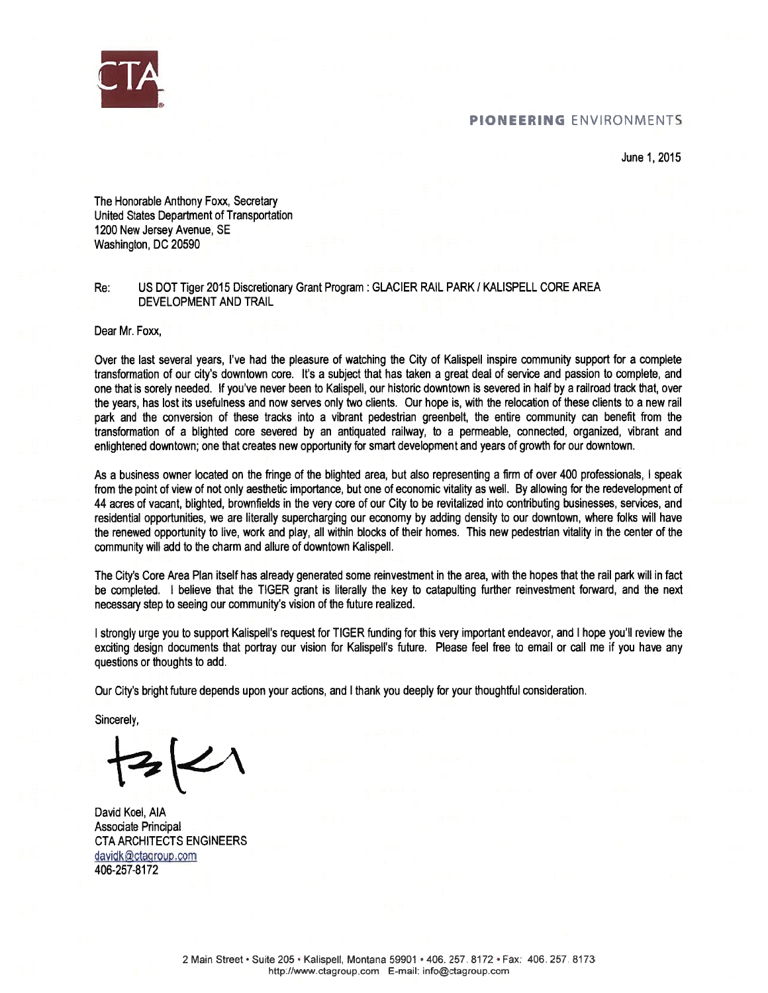

June 1,2015

The Honorable Anthony Foxx, Secretary United States Department of Transportation 1200 New Jersey Avenue, SE Washington, DC 20590

Re: US DOT Tiger 2015 Discretionary Grant Program : GLACIER RAIL PARK / KALISPELL CORE AREA DEVELOPMENT AND TRAIL

Dear Mr. Foxx,

Over the last several years, I've had the pleasure of watching the City of Kalispell inspire community support for a complete transformation of our city's downtown core. It's a subject that has taken a great deal of service and passion to complete, and one that is sorely needed. If you've never been to Kalispell, our historic downtown is severed in half by a railroad track that, over the years, has lost its usefulness and now serves only two clients. Our hope is, with the relocation of these clients to a new rail park and the conversion of these tracks into a vibrant pedestrian greenbelt, the entire community can benefit from the transformation of a blighted core severed by an antiquated railway, to a permeable, connected, organized, vibrant and enlightened downtown; one that creates new opportunity for smart development and years of growth for our downtown.

As a business owner located on the fringe of the blighted area, but also representing a firm of over 400 professionals, <sup>I</sup> speak from the point of view of not only aesthetic importance, but one of economic vitality as well. By allowing for the redevelopment of 44 acres of vacant, blighted, brownfields in the very core of our City to be revitalized into contributing businesses, services, and residential opportunities, we are literally supercharging our economy by adding density to our downtown, where folks will have the renewed opportunity to live, work and play, all within blocks of their homes. This new pedestrian vitality in the center of the community will add to the charm and allure of downtown Kalispell.

The City's Core Area Plan itself has already generated some reinvestment in the area, with the hopes that the rail park will in fact be completed. <sup>I</sup> believe that the TIGER grant is literally the key to catapulting further reinvestment forward, and the next necessary step to seeing our community's vision of the future realized.

<sup>I</sup> strongly urge you to support Kalispell's request for TIGER funding for this very important endeavor, and <sup>I</sup> hope you'll review the exciting design documents that portray our vision for Kalispell's future. Please feel free to email or call me if you have any questions or thoughts to add.

Our City's bright future depends upon your actions, and <sup>I</sup> thank you deeply for your thoughtful consideration.

Sincerely,

David Koel, AlA Associate Principal CTA ARCHITECTS ENGINEERS davidk@ctagroup.com 406-257-8172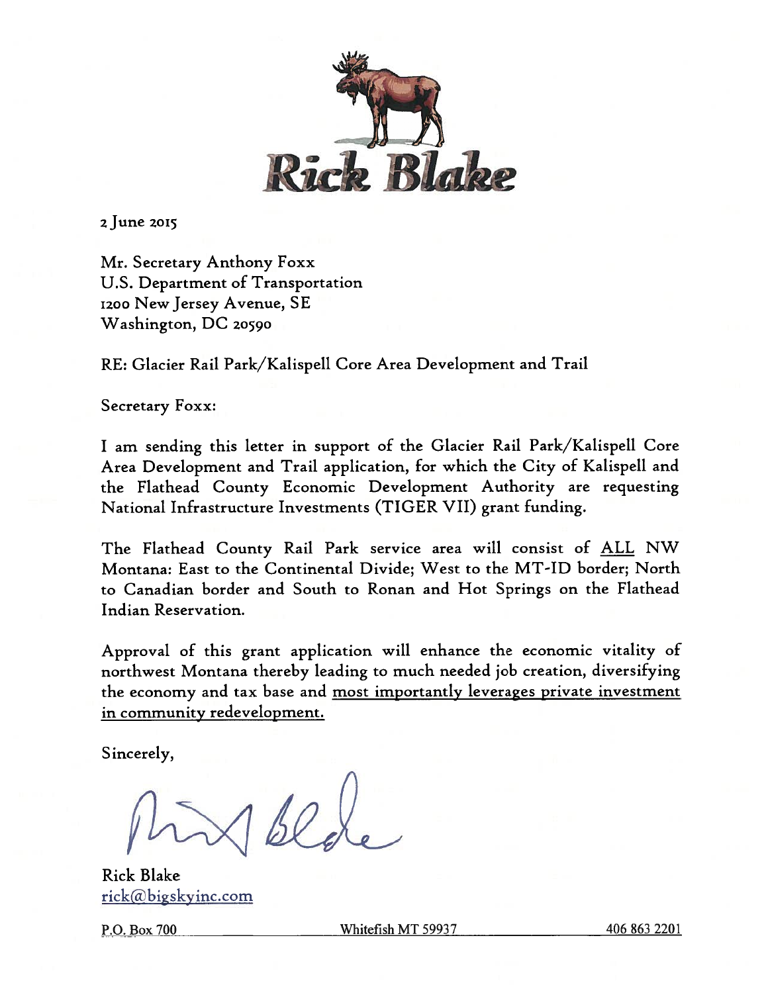

<sup>2</sup> June 2015

Mr. Secretary Anthony Foxx U.S. Department of Transportation 1200 New Jersey Avenue, SE Washington, DC 20590

RE: Glacier Rail Park/Kalispell Core Area Development and Trail

Secretary Foxx:

I am sending this letter in support of the Glacier Rail Park/Kalispell Core Area Development and Trail application, for which the City of Kalispell and the Flathead County Economic Development Authority are requesting National Infrastructure Investments (TIGER VII) grant funding.

The Flathead County Rail Park service area will consist of ALL NW Montana: East to the Continental Divide; West to the MT-ID border; North to Canadian border and South to Ronan and Hot Springs on the Flathead Indian Reservation.

Approval of this grant application will enhance the economic vitality of northwest Montana thereby leading to much needed job creation, diversifying the economy and tax base and most importantly leverages private investment in community redevelopment.

Sincerely,

Rick Blake rick@bigskyinc.com

P.O. Box 700 Whitefish MT 59937 406 863 2201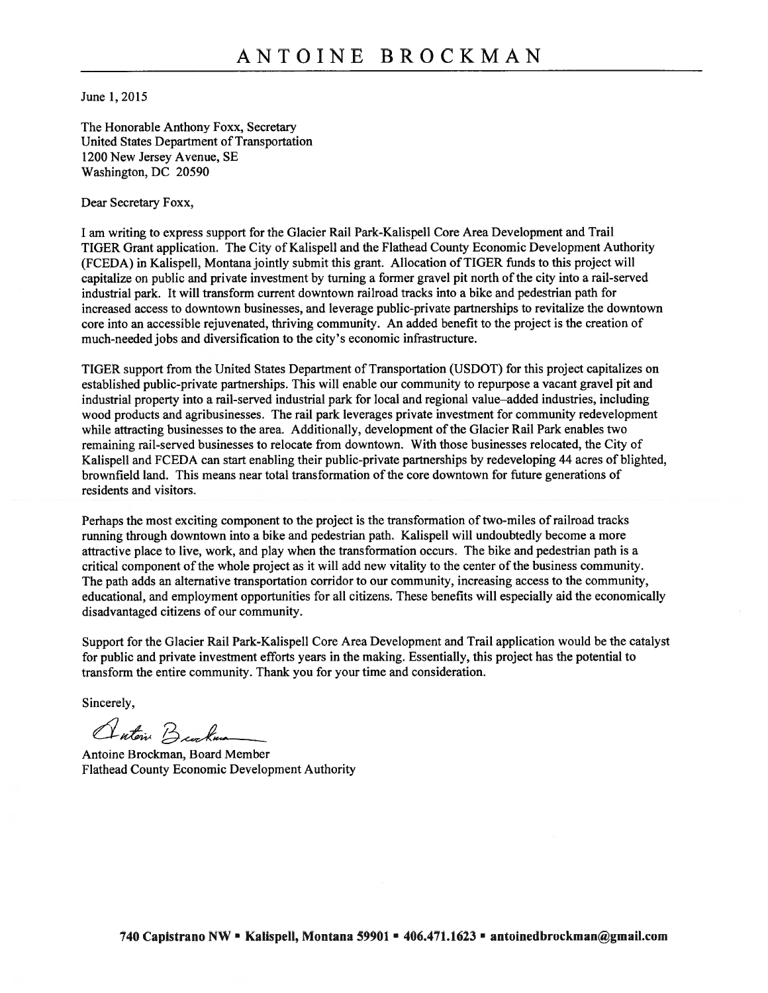June 1,2015

The Honorable Anthony Foxx, Secretary United States Department of Transportation 1200 New Jersey Avenue, SE Washington, DC 20590

Dear Secretary Foxx,

<sup>I</sup> am writing to express support for the Glacier Rail Park-Kalispell Core Area Development and Trail TIGER Grant application. The City of Kalispell and the Flathead County Economic Development Authority (FCEDA) in Kalispell, Montana jointly submit this grant. Allocation of TIGER funds to this project will capitalize on public and private investment by turning a former gravel pit north of the city into a rail-served industrial park. It will transform current downtown railroad tracks into a bike and pedestrian path for increased access to downtown businesses, and leverage public-private partnerships to revitalize the downtown core into an accessible rejuvenated, thriving community. An added benefit to the project is the creation of much-needed jobs and diversification to the city's economic infrastructure.

TIGER support from the United States Department of Transportation (USDOT) for this project capitalizes on established public-private partnerships. This will enable our community to repurpose a vacant gravel pit and industrial property into a rail-served industrial park for local and regional value—added industries, including wood products and agribusinesses. The rail park leverages private investment for community redevelopment while attracting businesses to the area. Additionally, development of the Glacier Rail Park enables two remaining rail-served businesses to relocate from downtown. With those businesses relocated, the City of Kalispell and FCEDA can start enabling their public-private partnerships by redeveloping 44 acres of blighted, brownfield land. This means near total transformation of the core downtown for future generations of residents and visitors.

Perhaps the most exciting component to the project is the transformation of two-miles of railroad tracks running through downtown into a bike and pedestrian path. Kalispell will undoubtedly become a more attractive place to live, work, and play when the transformation occurs. The bike and pedestrian path is a critical component of the whole project as it will add new vitality to the center of the business community. The path adds an alternative transportation corridor to our community, increasing access to the community, educational, and employment opportunities for all citizens. These benefits will especially aid the economically disadvantaged citizens of our community.

Support for the Glacier Rail Park-Kalispell Core Area Development and Trail application would be the catalyst for public and private investment efforts years in the making. Essentially, this project has the potential to transform the entire community. Thank you for your time and consideration.

Sincerely,

Antoni Burkum

Antoine Brockman, Board Member Flathead County Economic Development Authority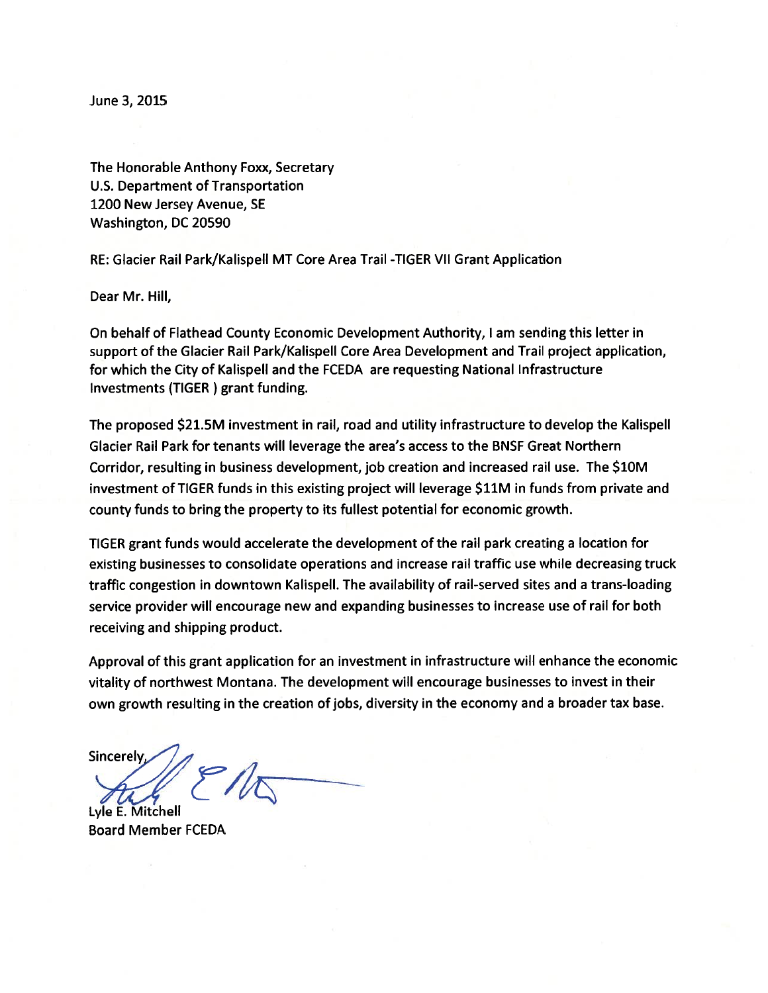June 3, 2015

The Honorable Anthony Foxx, Secretary U.S. Department of Transportation 1200 New Jersey Avenue, SE Washington, DC 20590

RE: Glacier Rail Park/Kalispell MT Core Area Trail -TIGER VII Grant Application

Dear Mr. Hill,

On behalf of Flathead County Economic Development Authority, <sup>I</sup> am sending this letter in support of the Glacier Rail Park/Kalispell Core Area Development and Trail project application, for which the City of Kalispell and the FCEDA are requesting National Infrastructure Investments (TIGER ) grant funding.

The proposed \$21.5M investment in rail, road and utility infrastructure to develop the Kalispell Glacier Rail Park for tenants will leverage the area's access to the BNSF Great Northern Corridor, resulting in business development, job creation and increased rail use. The \$1OM investment of TIGER funds in this existing project will leverage \$11M in funds from private and county funds to bring the property to its fullest potential for economic growth.

TIGER grant funds would accelerate the development of the rail park creating a location for existing businesses to consolidate operations and increase rail traffic use while decreasing truck traffic congestion in downtown Kalispell. The availability of rail-served sites and a trans-loading service provider will encourage new and expanding businesses to increase use of rail for both receiving and shipping product.

Approval of this grant application for an investment in infrastructure will enhance the economic vitality of northwest Montana. The development will encourage businesses to invest in their own growth resulting in the creation of jobs, diversity in the economy and a broader tax base.

Sincerely,

Lyle E. Mitchell Board Member FCEDA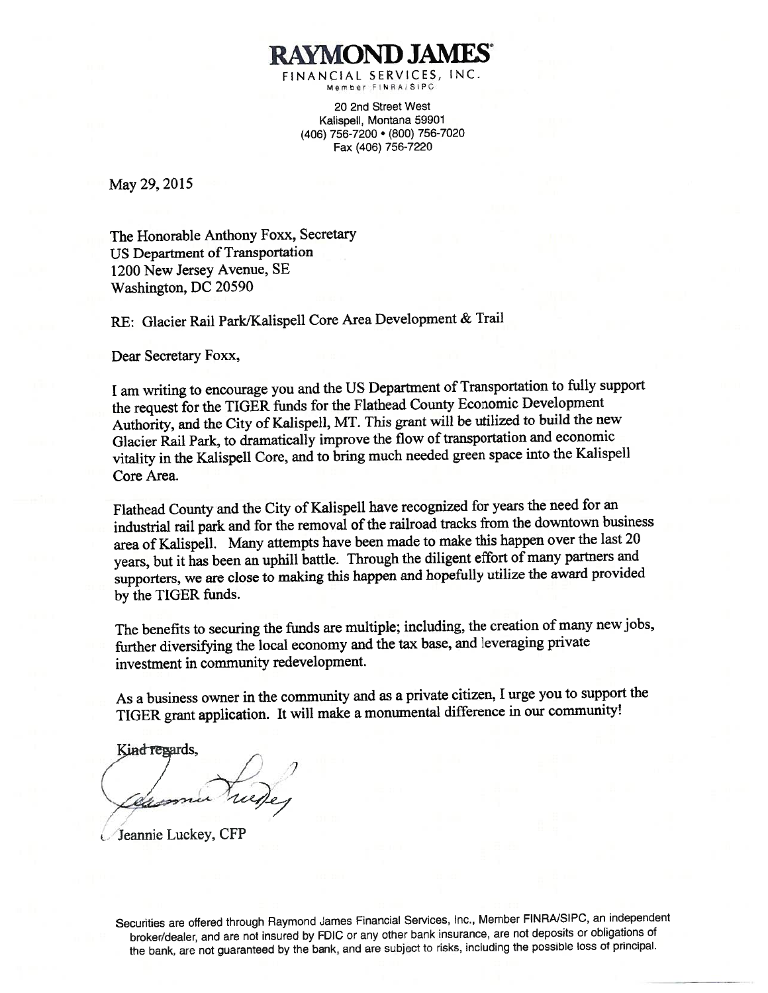RAYMOND JAMES FINANCIAL SERVICES, INC. Member FINRA/SIPC

> 20 2nd Street West Kalispell, Montana 59901 (406) 756-7200 • (800) 756-7020 Fax (406) 756-7220

May 29, 2015

The Honorable Anthony Foxx, Secretary US Department of Transportation 1200 New Jersey Avenue, SE Washington, DC 20590

RE: Glacier Rail Park/Kalispell Core Area Development & Trail

Dear Secretary Foxx,

I am writing to encourage you and the US Department of Transportation to fully suppor<sup>t</sup> the reques<sup>t</sup> for the TIGER funds for the Flathead County Economic Development Authority, and the City of Kalispell, MT. This gran<sup>t</sup> will be utilized to build the new Glacier Rail Park, to dramatically improve the flow of transportation and economic vitality in the Kalispell Core, and to bring much needed green space into the Kalispell Core Area.

Flathead County and the City of Kalispell have recognized for years the need for an industrial rail park and for the removal of the railroad tracks from the downtown business area of Kalispell. Many attempts have been made to make this happen over the last <sup>20</sup> years, but it has been an uphill battle. Through the diligent effort of many partners and supporters, we are close to making this happen and hopefully utilize the award provided by the TIGER funds.

The benefits to securing the funds are multiple; including, the creation of many new jobs, further diversifying the local economy and the tax base, and leveraging private investment in community redevelopment.

As <sup>a</sup> business owner in the community and as <sup>a</sup> private citizen, <sup>I</sup> urge you to suppor<sup>t</sup> the TIGER gran<sup>t</sup> application. It will make <sup>a</sup> monumental difference in our community!

Kind repards, I' 7

Jeannie Luckey, CFP

Securities are offered through Raymond James Financial Services, Inc., Member FINRAJSIPC, an independent broker/dealer, and are not insured by FUIC or any other bank insurance, are not deposits or obligations of the bank, are not guaranteed by the bank, and are subject to risks, including the possible loss of principal.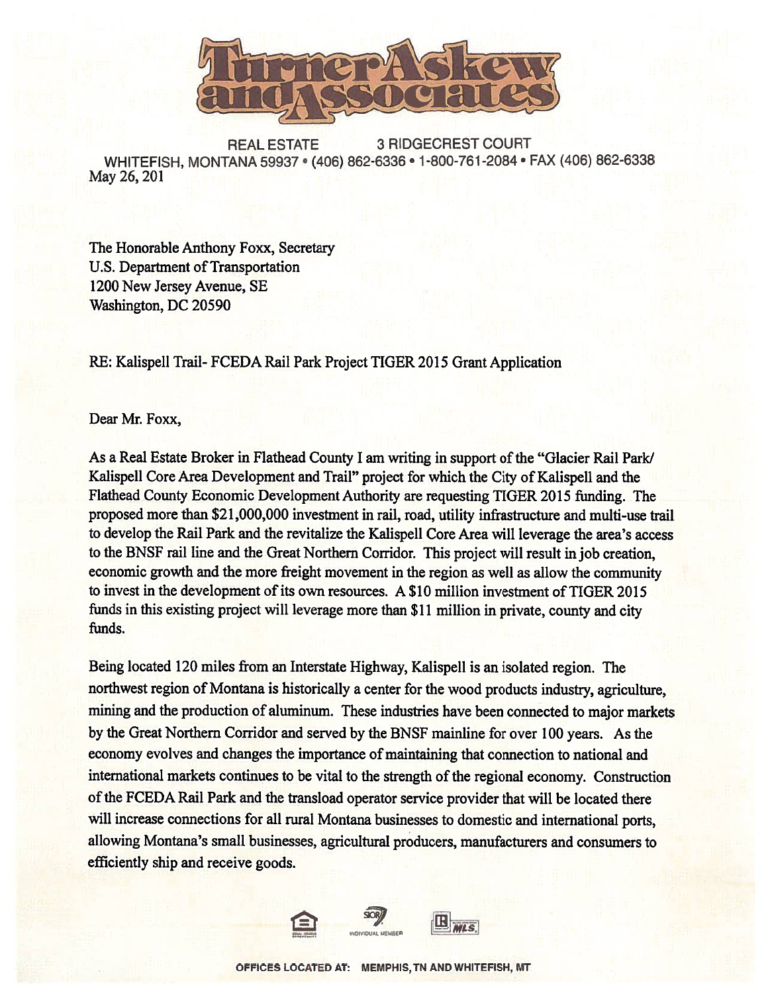

REAL ESTATE 3 RIDGECREST COURT WHITEFISH, MONTANA 59937 · (406) 862-6336 · 1-800-761-2084 · FAX (406) 862-6338 May 26, 201

The Honorable Anthony Foxx, Secretary U.S. Department of Transportation 1200 New Jersey Avenue, SE Washington, DC 20590

RE: Kalispell Trail- FCEDA Rail Park Project TIGER 2015 Grant Application

Dear Mr. Foxx,

As a Real Estate Broker in Flathead County I am writing in support of the "Glacier Rail Park/ Kalispell Core Area Development and Trail" project for which the City of Kalispell and the Flathead County Economic Development Authority are requesting TIGER 2015 funding. The proposed more than \$21,000,000 investment in rail, road, utility infrastructure and multi-use trail to develop the Rail Park and the revitalize the Kalispell Core Area will leverage the area's access to the BNSF rail line and the Great Northern Corridor. This project will result in job creation, economic growth and the more freight movement in the region as well as allow the community to invest in the development of its own resources. A \$10 million investment of TIGER 2015 funds in this existing project will leverage more than \$11 million in private, county and city funds.

Being located 120 miles from an Interstate Highway, Kalispell is an isolated region. The northwest region of Montana is historically a center for the wood products industry, agriculture, mining and the production of aluminum. These industries have been connected to major markets by the Great Northern Corridor and served by the BNSF mainline for over 100 years. As the economy evolves and changes the importance of maintaining that connection to national and international markets continues to be vital to the strength of the regional economy. Construction of the FCEDA Rail Park and the transload operator service provider that will be located there will increase connections for all rural Montana businesses to domestic and international ports, allowing Montana's small businesses, agricultural producers, manufacturers and consumers to efficiently ship and receive goods.

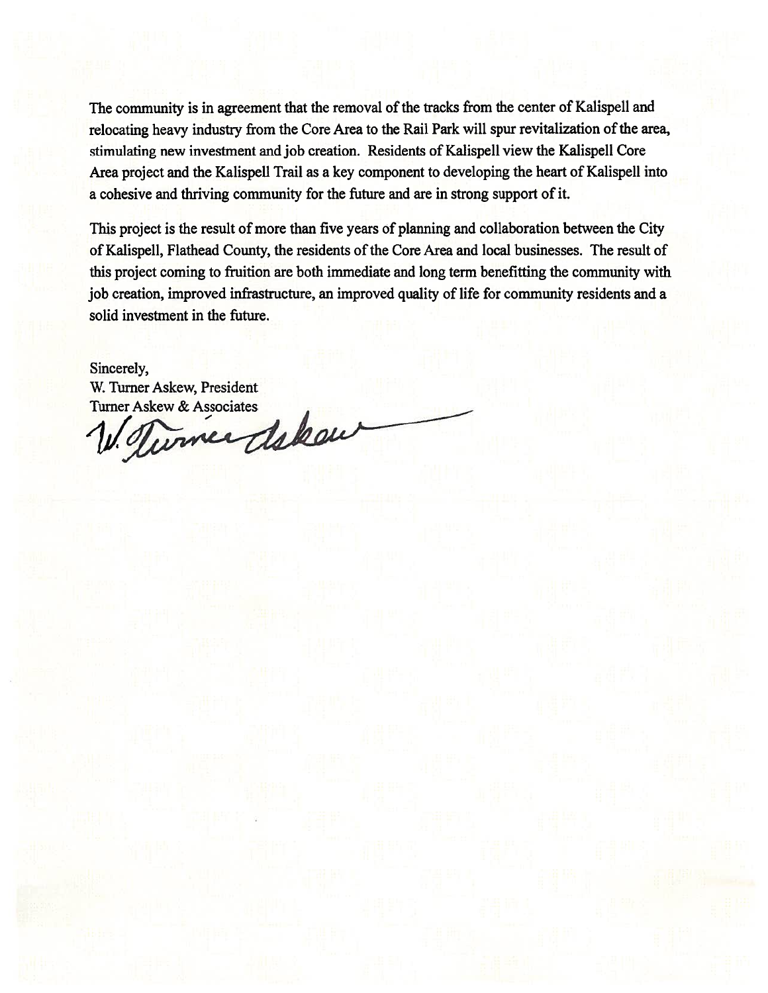The community is in agreement that the removal of the tracks from the center of Kalispell and relocating heavy industry from the Core Area to the Rail Park will spur revitalization of the area, stimulating new investment and job creation. Residents of Kalispell view the Kalispell Core Area project and the Kalispell Trail as a key component to developing the heart of Kalispell into a cohesive and thriving community for the future and are in strong support of it.

This project is the result of more than five years of planning and collaboration between the City of Kalispell, Flathead County, the residents of the Core Area and local businesses. The result of this project coming to fruition are both immediate and long term benefitting the community with job creation, improved infrastructure, an improved quality of life for community residents and a solid investment in the future.

### Sincerely,

W. Turner Askew, President

Turner Askew & Associates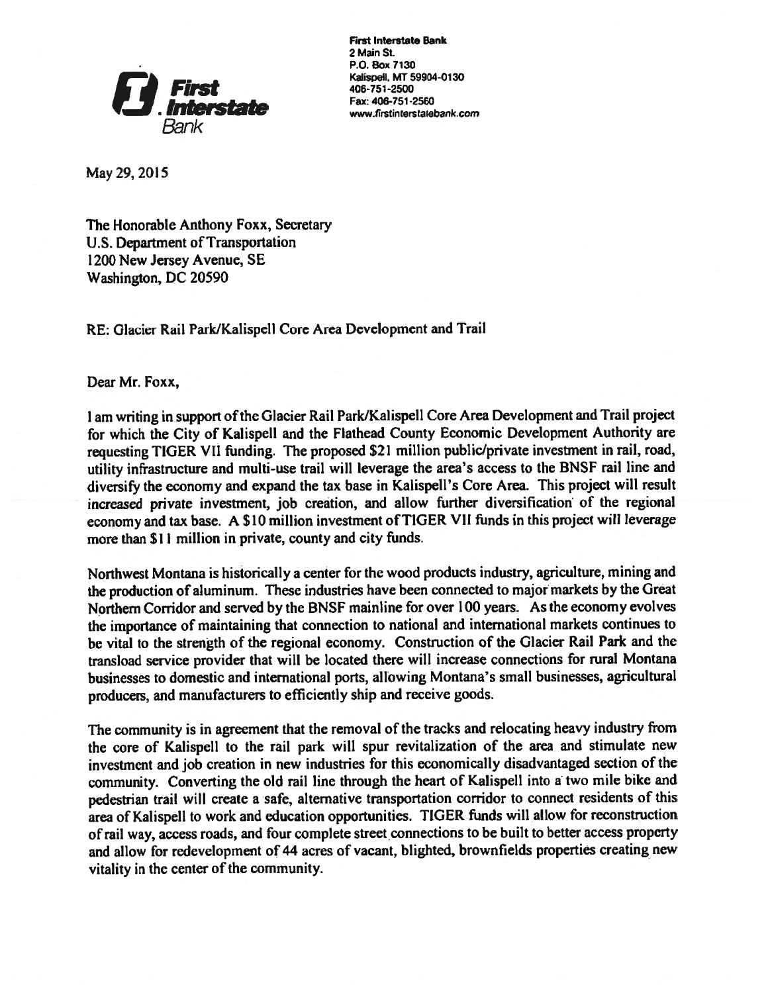

First Interstate Bank 2 Main St. P.O.8ox7130 Kalispell, MT 59904-0130<br>406-751-2500 Fax: 406-751-2560 www.tirstinlerstatebank.com

May 29, 2015

The Honorable Anthony Foxx, Secretary U.S. Department of Transportation 1200 New Jersey Avenue, SE Washington, DC 20590

RE: Glacier Rail Park/Kalispell Core Area Development and Trail

Dear Mr. Foxx,

<sup>I</sup> am writing in support ofthe Glacier Rail Park/Kalispell Core Area Development and Trail project for which the City of Kalispell and the Flathead County Economic Development Authority are requesting TIGER VII funding. The proposed \$21 million public/private investment in rail, road, utility infrastructure and multi-use trail will leverage the area's access to the BNSF rail line and diversify the economy and expand the tax base in Kalispell's Core Area. This project will result increased private investment, job creation, and allow further diversification of the regional economy and tax base. A \$10 million investment of TIGER VII funds in this project will leverage more than \$1 <sup>I</sup> million in private, county and city funds.

Northwest Montana is historically a center for the wood products industry, agriculture, mining and the production of aluminum. These industries have been connected to major markets by the Great Northern Corridor and served by the BNSF mainline for over 100 years. As the economy evolves the importance of maintaining that connection to national and international markets continues to be vital to the strength of the regional economy. Construction of the Glacier Rail Park and the transload service provider that will be located there will increase connections for rural Montana businesses to domestic and international ports, allowing Montana's small businesses, agricultural producers, and manufacturers to efficiently ship and receive goods.

The community is in agreement that the removal of the tracks and relocating heavy industry from the core of Kalispell to the rail park will spur revitalization of the area and stimulate new investment and job creation in new industries for this economically disadvantaged section of the community. Converting the old rail line through the heart of Kalispell into <sup>a</sup> two mile bike and pedestrian trail will create <sup>a</sup> safe, alternative transportation corridor to connect residents of this area of Kalispell to work and education opportunities. TIGER funds will allow for reconstruction ofrail way, access roads, and four complete street connections to be built to better access property and allow for redevelopment of 44 acres of vacant, blighted, brownfields properties creating new vitality in the center of the community.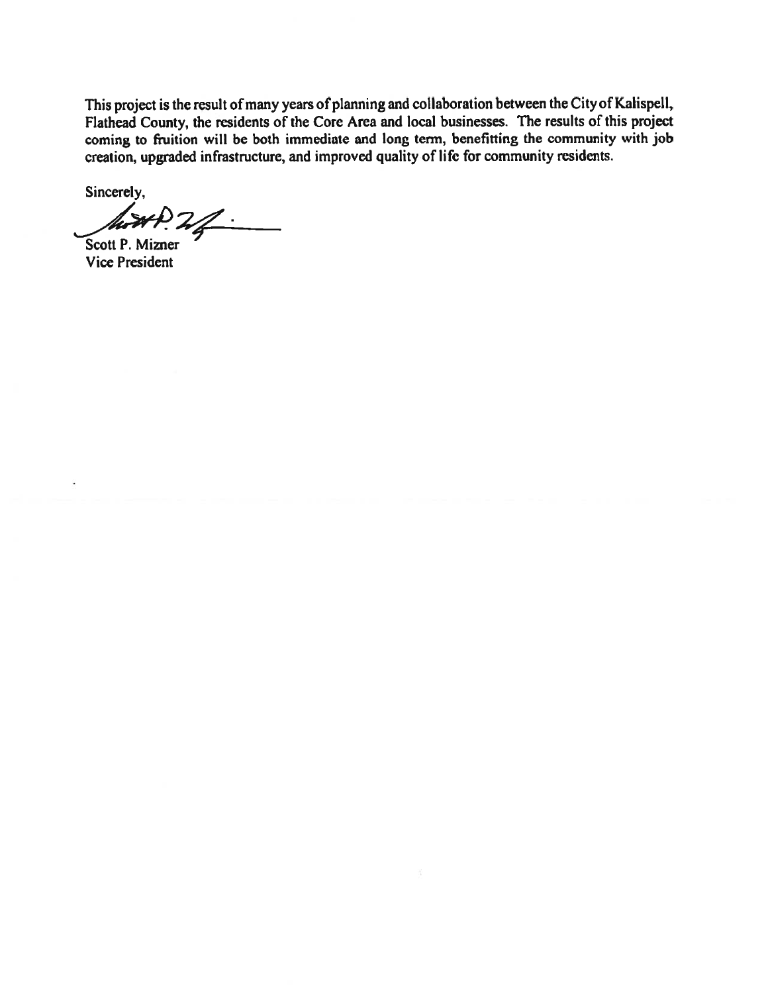This project is the result of many years of planning and collaboration between the City of Kalispell, Flathead County, the residents of the Core Area and local businesses. The results of this project coming to fruition will be both immediate and long term, benefitting the community with job creation, upgraded infrastructure, and improved quality of life for community residents.

Sincerely,

 $M P. 2/$ 

Vice President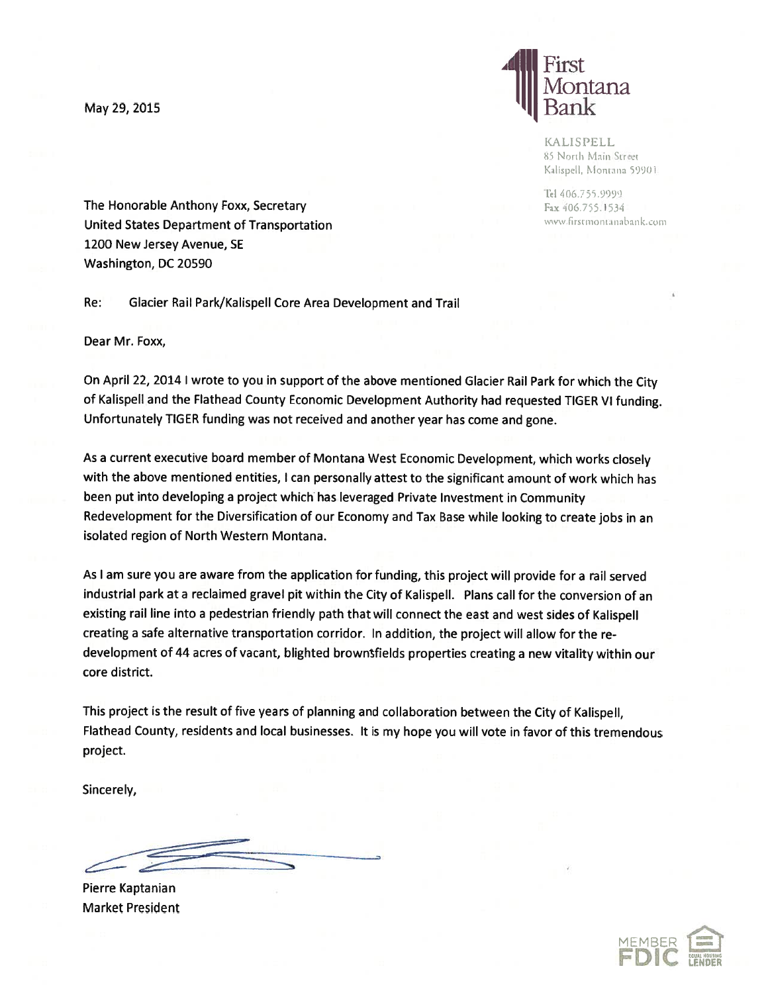

**KALISPELL** 85 North Main Street Kalispell, Montana 59901.

Tel 406.755.9999

The Honorable Anthony Foxx, Secretary Fax 106.755.1534 United States Department of Transportation and the Communication of the Communication of Transportation nurs and the Communication of Transportation 1200 New Jersey Avenue, SE Washington, DC 20590

Re: Glacier Rail Park/Kalispell Core Area Development and Trail

Dear Mr. Foxx,

On April 22, 2014 <sup>I</sup> wrote to you in support of the above mentioned Glacier Rail Park for which the City of Kalispell and the Flathead County Economic Development Authority had requested TIGER VI funding. Unfortunately TIGER funding was not received and another year has come and gone.

As a current executive board member of Montana West Economic Development, which works closely with the above mentioned entities, <sup>I</sup> can personally attest to the significant amount of work which has been put into developing a project which has leveraged Private Investment in Community Redevelopment for the Diversification of our Economy and Tax Base while looking to create jobs in an isolated region of North Western Montana.

As <sup>I</sup> am sure you are aware from the application for funding, this project will provide for a rail served industrial park at a reclaimed gravel pit within the City of Kalispell. Plans call for the conversion of an existing rail line into <sup>a</sup> pedestrian friendly path that will connect the east and west sides of Kalispell creating <sup>a</sup> safe alternative transportation corridor. In addition, the project will allow for the re development of 44 acres of vacant, blighted brownfields properties creating <sup>a</sup> new vitality within our core district.

This project is the result of five years of planning and collaboration between the City of Kalispell, Flathead County, residents and local businesses. It is my hope you wilt vote in favor of this tremendous project.

Sincerely,

Pierre Kaptanian Market President

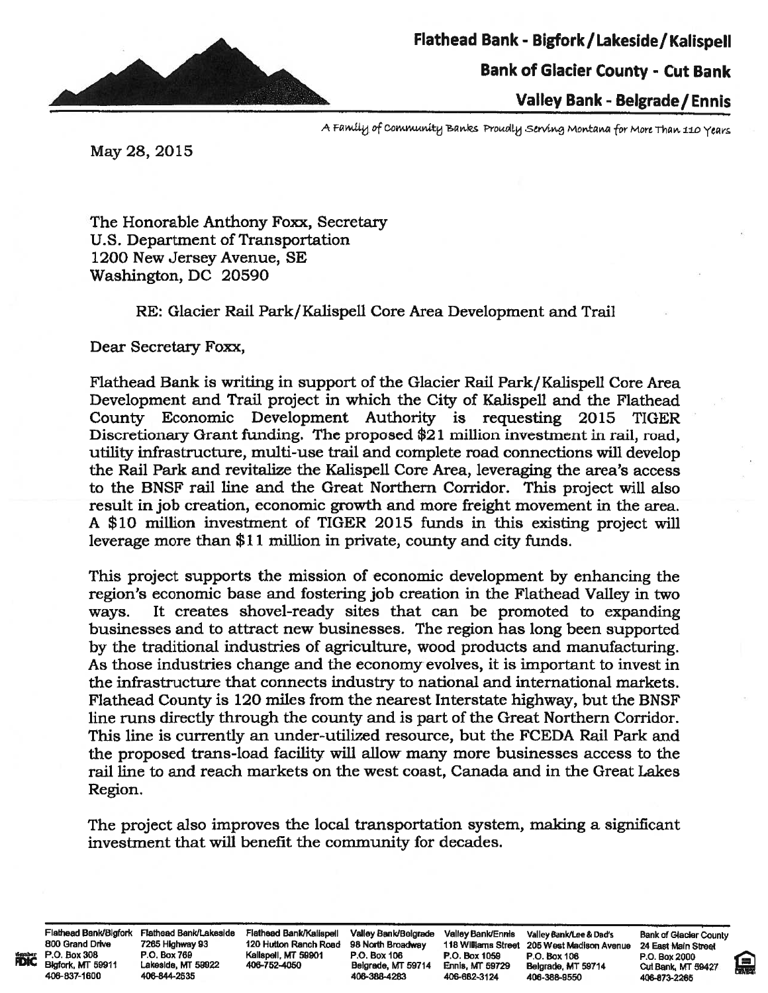

Valley Bank - Belgrade / Ennis

A Family of Community Banks Proudly Serving Montana for More Than 110 Years

May 28, 2015

The Honorable Anthony Foxx, Secretary U.S. Department of Transportation 1200 New Jersey Avenue, SE Washington, DC 20590

RE: Glacier Rail Park/Kalispell Core Area Development and Trail

Dear Secretary Foxx,

Flathead Bank is writing in support of the Glacier Rail Park/Kalispell Core Area Development and Trail project in which the City of Kalispell and the Flathead County Economic Development Authority is requesting 2015 TIGER Discretionary Grant funding. The proposed \$21 million investment in rail, road, utility infrastructure, multi-use trail and complete road connections will develop the Rail Park and revitalize the Kalispell Core Area, leveraging the area's access to the BNSF rail line and the Great Northern Corridor. This project will also result in job creation, economic growth and more freight movement in the area. A \$10 million investment of TIGER 2015 funds in this existing project will leverage more than \$11 million in private, county and city funds.

This project supports the mission of economic development by enhancing the region's economic base and fostering job creation in the Flathead Valley in two ways. It creates shovel-ready sites that can be promoted to expanding businesses and to attract new businesses. The region has long been supported by the traditional industries of agriculture, wood products and manufacturing. As those industries change and the economy evolves, it is important to invest in the infrastructure that connects industry to national and international markets. Flathead County is 120 miles from the nearest Interstate highway, but the BNSF' line runs directly through the county and is part of the Great Northern Corridor. This line is currently an under-utilized resource, but the FCEDA Rail Park and the proposed trans-load facility will allow many more businesses access to the rail line to and reach markets on the west coast, Canada and in the Great Lakes Region.

The project also improves the local transportation system, making a significant investment that will benefit the community for decades.

Flathead Bank/Blgfork Flathead Bank/Lakeside Flathead Bank/Kalispell Valley Bank/Belgrade Valley Bank/Bank/Lee & Mank of Glacier County<br>800 Grand Drive 7265 Highway 93 120 Hutton Ranch Road 98 North Broadway 118 Williams S 406-637-1600 406-844-2635 406-388-4283 406-682-3124 406-388-9550 496-873-2265

800 Grand Drive 7265 Highway 93 120 Hutton Ranch Road 98 North Broadway 118 Williams Street 205 West Madison Avenue 24 East Main Street 205 West Main Street 205 West Main Street 205 West Main Street 205 West 2000 120 P.O. **"With P.O. Box 308 P.O. Box 769 Realispell, MT 59901 P.O. Box 106 P.O. Box 1059 P.O. Box 106 P.O. Box 2000** Blgfork, MT 59911 LakesIde, MT 59922 406-7524050 Belgrade, MT 59714 Ennia, MT 59T29 Belgrade, MT 59714 Cut Bank, MT 69427

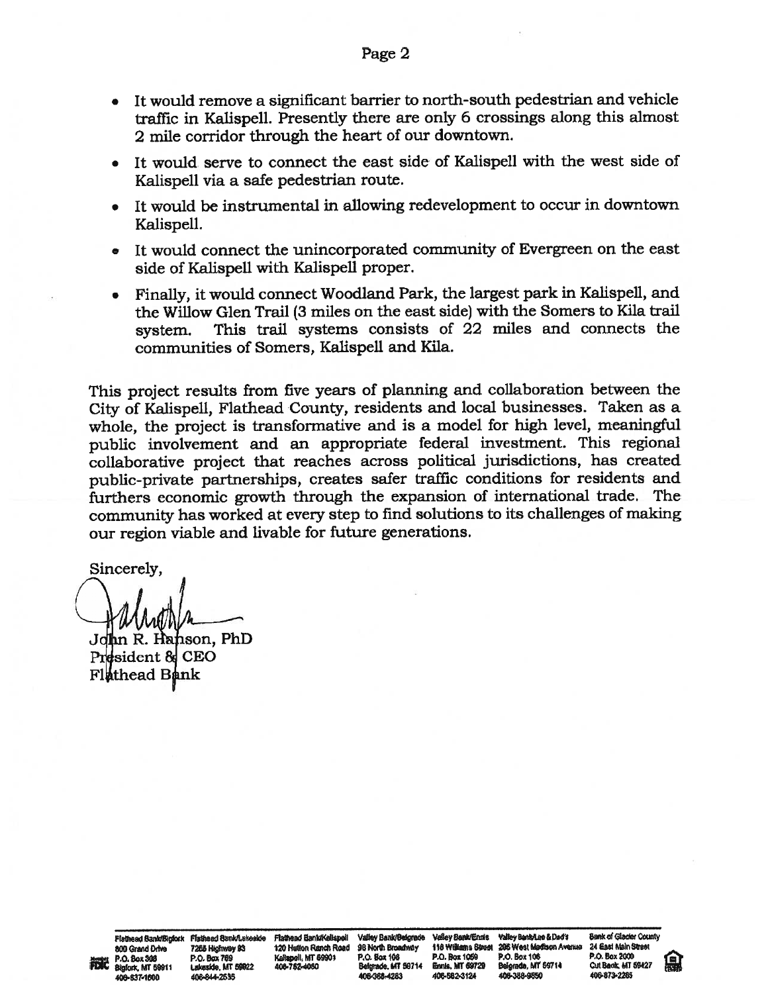- It would remove a significant barrier to north-south pedestrian and vehicle traffic in Kalispell. Presently there are only 6 crossings along this almost 2 mile corridor through the heart of our downtown.
- It would serve to connect the east side of Kalispell with the west side of Kalispell via a safe pedestrian route.
- It would be instrumental in allowing redevelopment to occur in downtown Kalispell.
- It would connect the unincorporated community of Evergreen on the east side of Kalispell with Kalispell proper.
- Finally, it would connect Woodland Park, the largest park in Kalispell, and the Willow Glen Trail (3 miles on the east side) with the Somers to Kila trail system. This trail systems consists of 22 miles and connects the communities of Somers, Kalispell and Kila.

This project results from five years of planning and collaboration between the City of Kalispell, Flathead County, residents and local businesses. Taken as a whole, the project is transformative and is a model for high level, meaningful public involvement and an appropriate federal investment. This regional collaborative project that reaches across political jurisdictions, has created public-private partnerships, creates safer traffic conditions for residents and furthers economic growth through the expansion of international trade. The community has worked at every step to find solutions to its challenges of making our region viable and livable for future generations.

Sincerely,

n R. Hanson, PhD sident & CEO Flathead Bank

Flathead Bank/Eigfork Flathead Bank/Letoside Flathead Bank/Geispell Valley Bank/Beigrade Valley Bank/Ennis Valley Bank/Lee & Dad's Bank of Glacier County<br>800 Grand Drive 7265 Highwey 93 120 Hutton Ranch Road 96 North Broad 800 Grand Drive 7288 Highwey 93 120 Hullon Ranch Road 98 North Broadway 118 Williams Street 206 West Madison Avanue 24 East Main S<br>P.O. Box 208 P.O. Box 769 R.O. Box 104 P.O. Box 106 P.O. Box 106 P.O. Box 106 P.O. Box 200 Plathead Bank/Bigfork Flathead Bank/Lekeside Flathead Bank/Kelispell Valley Bank/Beigrade Valley Bank/Emils Valley Bank/Leke18dof Bank of Glacier County<br>200 Grand Drive 7265 Highway 93 120 Hutton Ranch Road 96 North Broadw Bigrofx, MT 59911 Lakeside. MT 59922 406-752-4050 Belgrade. MT 99714 Bunts. MT 69729 Belgrade. MT 69714 Cut Bank MT 69427<br>406-637-1600 406-844-2535 406-782-408 406-388-4283 406-682-3124 406-388-9550 406-673-2265 405437500 4064442669 4064444283 406.5824124 4064449650 406.873'2265

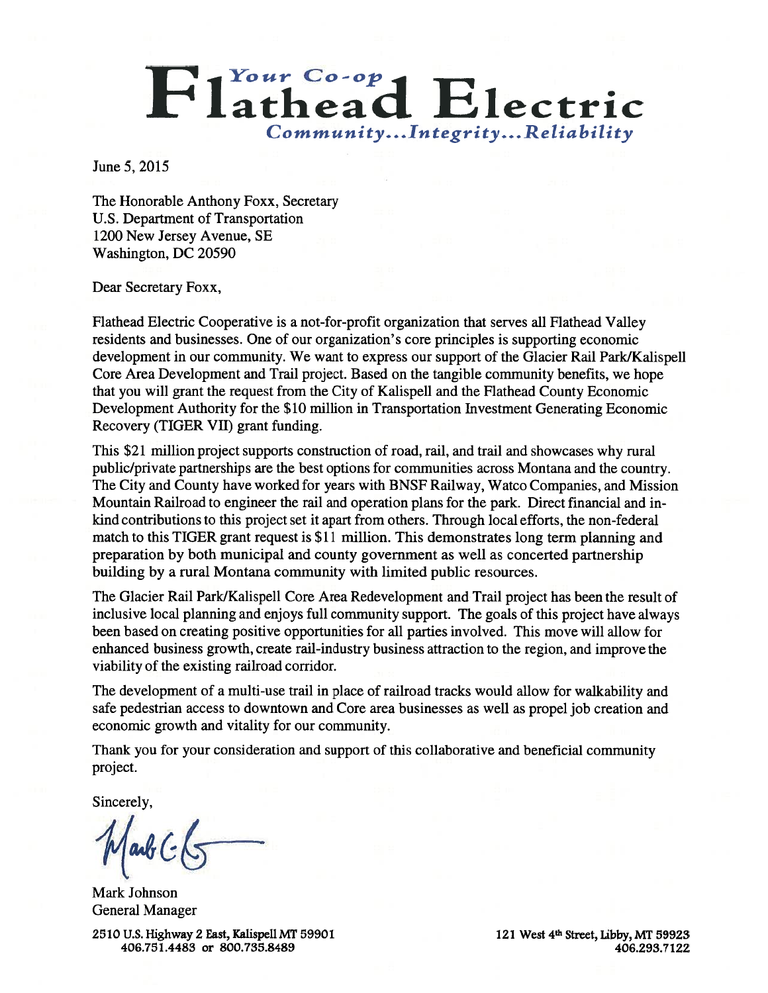# Flathead Electric Community...Integrity...Reliability

June 5, 2015

The Honorable Anthony Foxx, Secretary U.S. Department of Transportation 1200 New Jersey Avenue, SE Washington, DC 20590

#### Dear Secretary Foxx,

Flathead Electric Cooperative is a not-for-profit organization that serves all Flathead Valley residents and businesses. One of our organization's core principles is supporting economic development in our community. We want to express our support of the Glacier Rail Park/Kalispell Core Area Development and Trail project. Based on the tangible community benefits, we hope that you will grant the request from the City of Kalispell and the Flathead County Economic Development Authority for the \$10 million in Transportation Investment Generating Economic Recovery (TIGER VII) grant funding.

This \$21 million project supports construction of road, rail, and trail and showcases why rural public/private partnerships are the best options for communities across Montana and the country. The City and County have worked for years with BNSF Railway, Watco Companies, and Mission Mountain Railroad to engineer the rail and operation plans for the park. Direct financial and inkind contributions to this project set it apart from others. Through local efforts, the non-federal match to this TIGER grant request is \$11 million. This demonstrates long term planning and preparation by both municipal and county government as well as concerted partnership building by a rural Montana community with limited public resources.

The Glacier Rail Park/Kalispell Core Area Redevelopment and Trail project has been the result of inclusive local planning and enjoys full community support. The goals of this project have always been based on creating positive opportunities for all parties involved. This move will allow for enhanced business growth, create rail-industry business attraction to the region, and improve the viability of the existing railroad corridor.

The development of a multi-use trail in place of railroad tracks would allow for walkability and safe pedestrian access to downtown and Core area businesses as well as propel job creation and economic growth and vitality for our community.

Thank you for your consideration and support of this collaborative and beneficial community project.

Sincerely,

arb C

Mark Johnson General Manager

2510 U.S. Highway 2 East, Kalispell MT 59901 406.751.4483 or 800.735.8489

121 West 4<sup>th</sup> Street, Libby, MT 59923 406.293.7122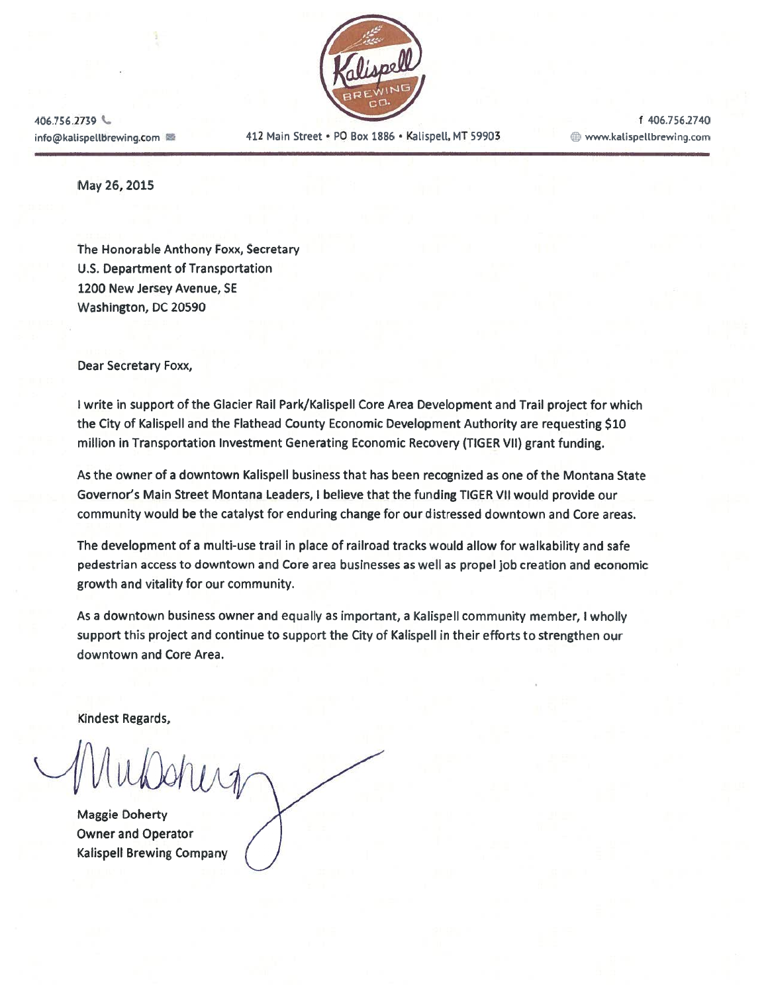

info@kalispellbrewing.com  $\blacksquare$  412 Main Street • PO Box 1886 • Kalispell, MT 59903  $\blacksquare$  www.kalispellbrewing.com

406.756.2739 **c** f 406.756.2740

May 26, 2015

The Honorable Anthony Foxx, Secretary U.S. Department of Transportation 1200 New Jersey Avenue, SE Washington, DC 20590

Dear Secretary Foxx,

<sup>I</sup> write in support of the Glacier Rail Park/Kalispell Core Area Development and Trail project for which the City of Kalispell and the Flathead County Economic Development Authority are requesting \$10 million in Transportation Investment Generating Economic Recovery (TIGER VII) grant funding.

As the owner of a downtown Kalispell business that has been recognized as one of the Montana State Governor's Main Street Montana Leaders, <sup>I</sup> believe that the funding TIGER VII would provide our community would be the catalyst for enduring change for our distressed downtown and Core areas.

The development of a multi-use trail in place of railroad tracks would allow for walkability and safe pedestrian access to downtown and Core area businesses as well as propel job creation and economic growth and vitality for our community.

As a downtown business owner and equally as important, a Kalispell community member, <sup>I</sup> wholly support this project and continue to support the City of Kalispell in their efforts to strengthen our downtown and Core Area.

Kindest Regards,

Maggie Doherty Owner and Operator Kalispell Brewing Company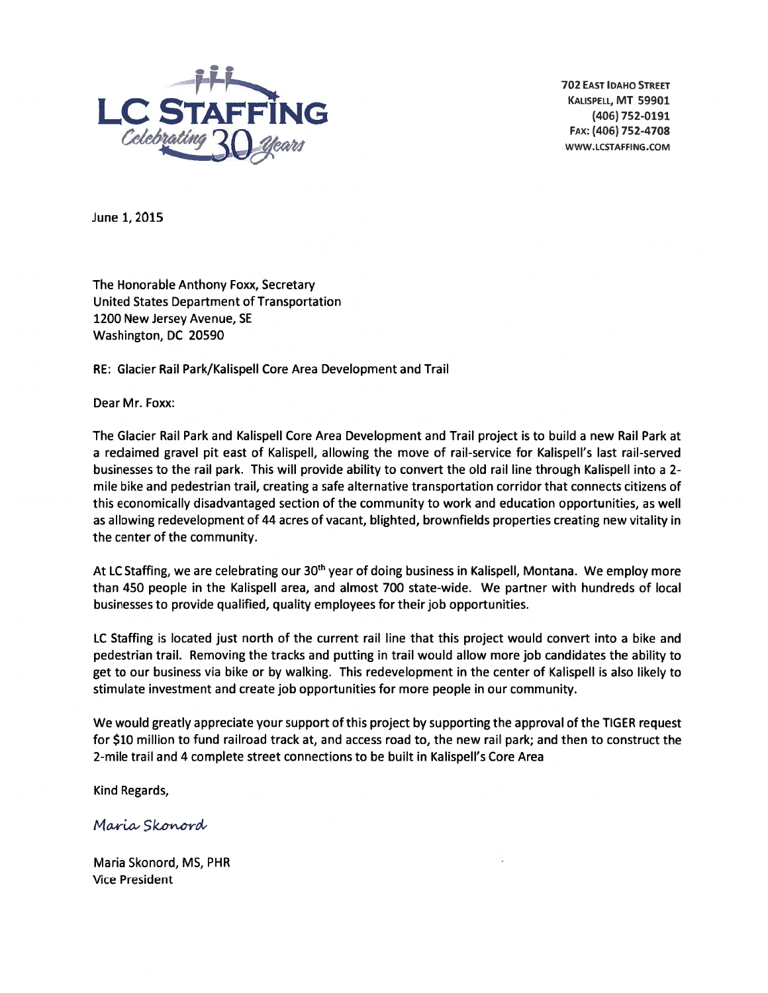

702 EAsT IDAHO STREET FAX: (406) 752-4708 — WWW.LCSTAFFING.COM

June 1, 2015

The Honorable Anthony Foxx, Secretary United States Department of Transportation 1200 New Jersey Avenue, SE Washington, DC 20590

RE: Glacier Rail Park/Kalispell Core Area Development and Trail

Dear Mr. Foxx:

The Glacier Rail Park and Kalispell Core Area Development and Trail project is to build a new Rail Park at a reclaimed gravel pit east of Kalispell, allowing the move of rail-service for Kalispell's last rail-served businesses to the rail park. This will provide ability to convert the old rail line through Kalispell into a 2 mile bike and pedestrian trail, creating a safe alternative transportation corridor that connects citizens of this economically disadvantaged section of the community to work and education opportunities, as well as allowing redevelopment of 44 acres of vacant, blighted, brownfields properties creating new vitality in the center of the community.

At LC Staffing, we are celebrating our 30<sup>th</sup> year of doing business in Kalispell, Montana. We employ more than 450 people in the Kalispell area, and almost 700 state-wide. We partner with hundreds of local businesses to provide qualified, quality employees for their job opportunities.

LC Staffing is located just north of the current rail line that this project would convert into a bike and pedestrian trail. Removing the tracks and putting in trail would allow more job candidates the ability to get to our business via bike or by walking. This redevelopment in the center of Kalispell is also likely to stimulate investment and create job opportunities for more people in our community.

We would greatly appreciate your support of this project by supporting the approval of the TIGER request for \$10 million to fund railroad track at, and access road to, the new rail park; and then to construct the 2-mile trail and 4 complete street connections to be built in Kalispell's Core Area

Kind Regards,

Maria Skonord

Maria Skonord, MS, PHR Vice President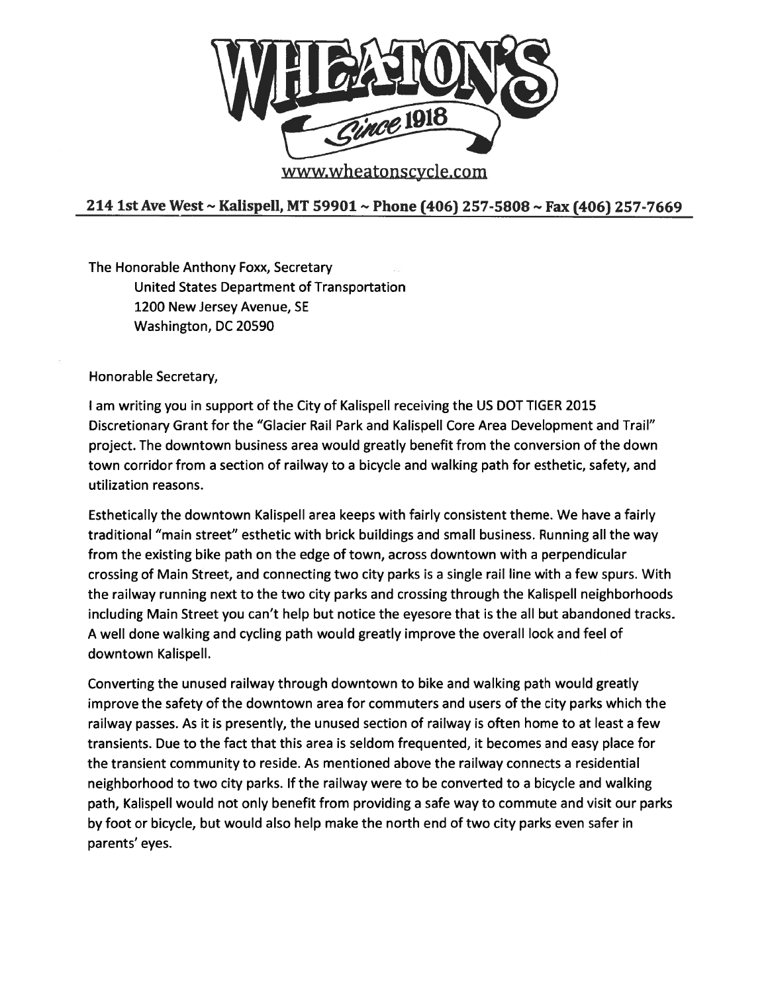

www.wheatonscycle.com

## 214 1st Ave West ~ Kalispell, MT 59901 ~ Phone (406) 257-5808 ~ Fax (406) 257-7669

The Honorable Anthony Foxx, Secretary United States Department of Transportation 1200 New Jersey Avenue, SE Washington, DC 20590

Honorable Secretary,

<sup>I</sup> am writing you in support of the City of Kalispell receiving the US DOT TIGER 2015 Discretionary Grant for the "Glacier Rail Park and Kalispell Core Area Development and Trail" project. The downtown business area would greatly benefit from the conversion of the down town corridor from a section of railway to a bicycle and walking path for esthetic, safety, and utilization reasons.

Esthetically the downtown Kalispell area keeps with fairly consistent theme. We have a fairly traditional "main street" esthetic with brick buildings and small business. Running all the way from the existing bike path on the edge of town, across downtown with a perpendicular crossing of Main Street, and connecting two city parks is a single rail line with a few spurs. With the railway running next to the two city parks and crossing through the Kalispell neighborhoods including Main Street you can't help but notice the eyesore that is the all but abandoned tracks. A well done walking and cycling path would greatly improve the overall look and feel of downtown Kalispell.

Converting the unused railway through downtown to bike and walking path would greatly improve the safety of the downtown area for commuters and users of the city parks which the railway passes. As it is presently, the unused section of railway is often home to at least a few transients. Due to the fact that this area is seldom frequented, it becomes and easy place for the transient community to reside. As mentioned above the railway connects a residential neighborhood to two city parks. If the railway were to be converted to a bicycle and walking path, Kalispell would not only benefit from providing a safe way to commute and visit our parks by foot or bicycle, but would also help make the north end of two city parks even safer in parents' eyes.